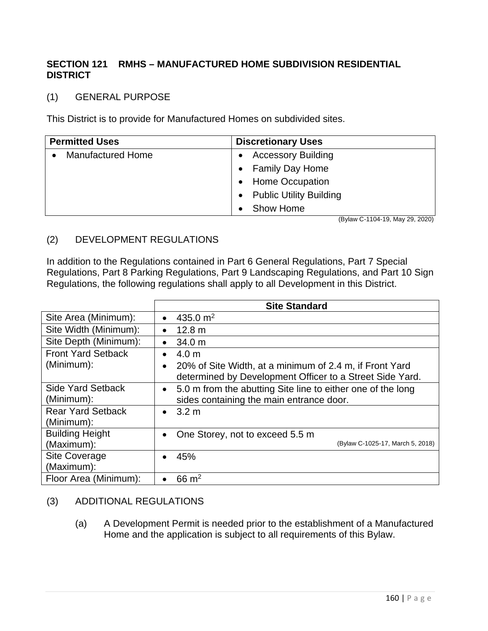## **SECTION 121 RMHS – MANUFACTURED HOME SUBDIVISION RESIDENTIAL DISTRICT**

## (1) GENERAL PURPOSE

This District is to provide for Manufactured Homes on subdivided sites.

| <b>Permitted Uses</b>    | <b>Discretionary Uses</b>                   |
|--------------------------|---------------------------------------------|
| <b>Manufactured Home</b> | <b>Accessory Building</b><br>$\bullet$      |
|                          | • Family Day Home                           |
|                          | • Home Occupation                           |
|                          | <b>Public Utility Building</b><br>$\bullet$ |
|                          | Show Home                                   |

(Bylaw C-1104-19, May 29, 2020)

## (2) DEVELOPMENT REGULATIONS

In addition to the Regulations contained in Part 6 General Regulations, Part 7 Special Regulations, Part 8 Parking Regulations, Part 9 Landscaping Regulations, and Part 10 Sign Regulations, the following regulations shall apply to all Development in this District.

|                           | <b>Site Standard</b>                                                                                                |
|---------------------------|---------------------------------------------------------------------------------------------------------------------|
| Site Area (Minimum):      | 435.0 $m2$<br>$\bullet$                                                                                             |
| Site Width (Minimum):     | 12.8 m<br>$\bullet$                                                                                                 |
| Site Depth (Minimum):     | 34.0 m<br>$\bullet$                                                                                                 |
| <b>Front Yard Setback</b> | 4.0 <sub>m</sub><br>$\bullet$                                                                                       |
| (Minimum):                | 20% of Site Width, at a minimum of 2.4 m, if Front Yard<br>determined by Development Officer to a Street Side Yard. |
| <b>Side Yard Setback</b>  | 5.0 m from the abutting Site line to either one of the long<br>$\bullet$                                            |
| (Minimum):                | sides containing the main entrance door.                                                                            |
| <b>Rear Yard Setback</b>  | $\bullet$ 3.2 m                                                                                                     |
| (Minimum):                |                                                                                                                     |
| <b>Building Height</b>    | One Storey, not to exceed 5.5 m<br>$\bullet$                                                                        |
| (Maximum):                | (Bylaw C-1025-17, March 5, 2018)                                                                                    |
| <b>Site Coverage</b>      | 45%                                                                                                                 |
| (Maximum):                |                                                                                                                     |
| Floor Area (Minimum):     | 66 $m2$                                                                                                             |

## (3) ADDITIONAL REGULATIONS

(a) A Development Permit is needed prior to the establishment of a Manufactured Home and the application is subject to all requirements of this Bylaw.